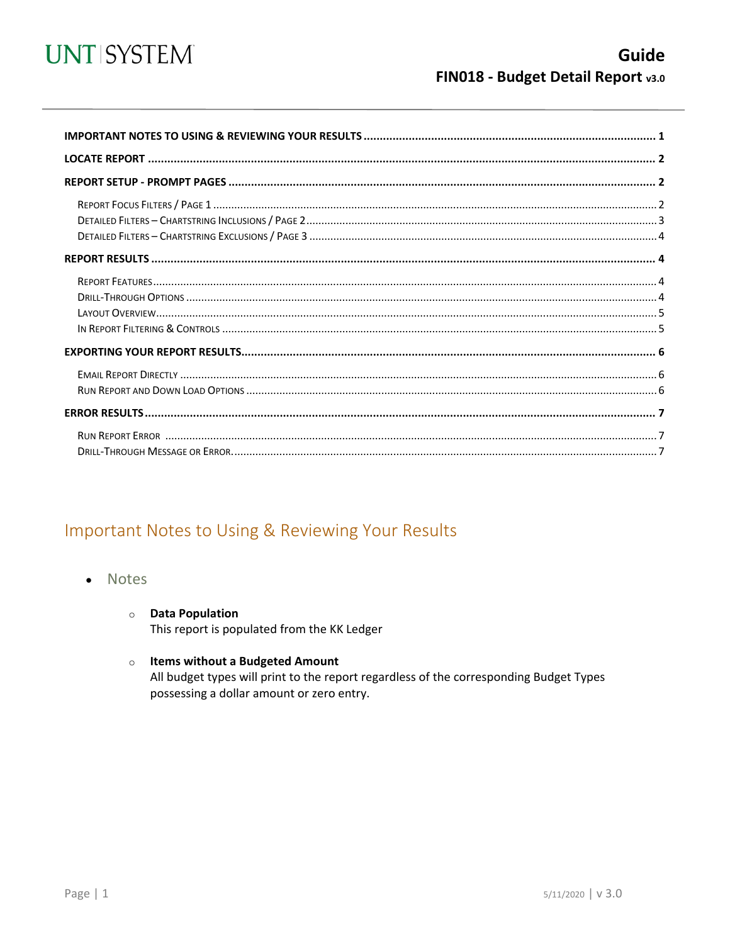

<span id="page-0-0"></span>

## Important Notes to Using & Reviewing Your Results

- **Notes**  $\bullet$ 
	- **O** Data Population This report is populated from the KK Ledger
	- o Items without a Budgeted Amount

All budget types will print to the report regardless of the corresponding Budget Types possessing a dollar amount or zero entry.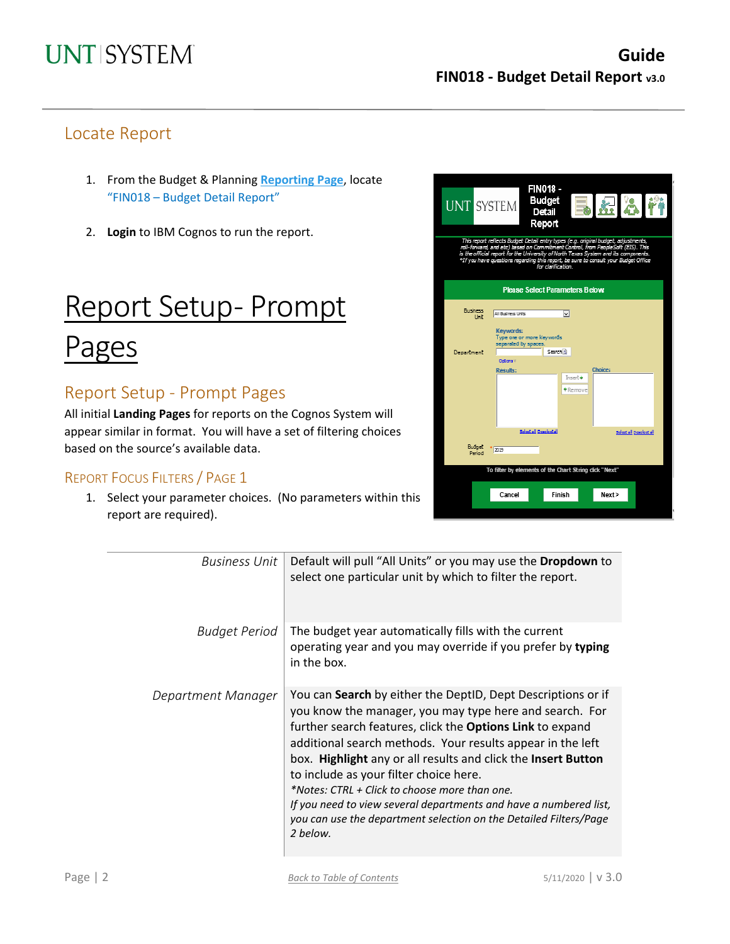## Locate Report

- 1. From the Budget & Planning **[Reporting Page](https://finance.untsystem.edu/reporting)**, locate "FIN018 – Budget Detail Report"
- 2. **Login** to IBM Cognos to run the report.

# Report Setup- Prompt

# Pages

## Report Setup - Prompt Pages

All initial **Landing Pages** for reports on the Cognos System will appear similar in format. You will have a set of filtering choices based on the source's available data.

### REPORT FOCUS FILTERS / PAGE 1

1. Select your parameter choices. (No parameters within this report are required).

| <b>UNT SYSTEM</b>                                                                                                                                                                                                                                                                                                                                                          |                                                                | <b>FIN018 -</b><br>Budget<br>Detail<br>Report | ki 8<br>$\Rightarrow$ |                       |  |  |  |  |  |  |  |  |
|----------------------------------------------------------------------------------------------------------------------------------------------------------------------------------------------------------------------------------------------------------------------------------------------------------------------------------------------------------------------------|----------------------------------------------------------------|-----------------------------------------------|-----------------------|-----------------------|--|--|--|--|--|--|--|--|
| This report reflects Budget Detail entry types (e.g. original budget, adjustments,<br>rall-farward, and etc) based on Commitment Control, from People Soft (EIS). This<br>is the official report for the University of North Texas System and its components.<br>*If you have questions regarding this report, be sure to consult your Budget Office<br>for clarification. |                                                                |                                               |                       |                       |  |  |  |  |  |  |  |  |
| <b>Please Select Parameters Below</b>                                                                                                                                                                                                                                                                                                                                      |                                                                |                                               |                       |                       |  |  |  |  |  |  |  |  |
| Business<br>Unit                                                                                                                                                                                                                                                                                                                                                           | All Business Units                                             | ٧I                                            |                       |                       |  |  |  |  |  |  |  |  |
|                                                                                                                                                                                                                                                                                                                                                                            | Keywords:<br>Type one or more keywords<br>separated by spaces. |                                               |                       |                       |  |  |  |  |  |  |  |  |
| Department                                                                                                                                                                                                                                                                                                                                                                 | Odlara V                                                       | Search <sup>(2)</sup>                         |                       |                       |  |  |  |  |  |  |  |  |
|                                                                                                                                                                                                                                                                                                                                                                            | Results:                                                       | Insert ♦                                      | Choice:               |                       |  |  |  |  |  |  |  |  |
|                                                                                                                                                                                                                                                                                                                                                                            |                                                                | <b>◆</b> Remove                               |                       |                       |  |  |  |  |  |  |  |  |
|                                                                                                                                                                                                                                                                                                                                                                            |                                                                | Sciential Deschet all                         |                       | Sciential Descloctial |  |  |  |  |  |  |  |  |
| Budget<br>Period                                                                                                                                                                                                                                                                                                                                                           | 2019                                                           |                                               |                       |                       |  |  |  |  |  |  |  |  |
|                                                                                                                                                                                                                                                                                                                                                                            | To filter by elements of the Chart String click "Next"         |                                               |                       |                       |  |  |  |  |  |  |  |  |
|                                                                                                                                                                                                                                                                                                                                                                            | Cancel                                                         | Finish                                        | Next>                 |                       |  |  |  |  |  |  |  |  |

| <b>Business Unit</b> | Default will pull "All Units" or you may use the Dropdown to<br>select one particular unit by which to filter the report.                                                                                                                                                                                                                                                                                                                                                                                                                                            |
|----------------------|----------------------------------------------------------------------------------------------------------------------------------------------------------------------------------------------------------------------------------------------------------------------------------------------------------------------------------------------------------------------------------------------------------------------------------------------------------------------------------------------------------------------------------------------------------------------|
| <b>Budget Period</b> | The budget year automatically fills with the current<br>operating year and you may override if you prefer by typing<br>in the box.                                                                                                                                                                                                                                                                                                                                                                                                                                   |
| Department Manager   | You can Search by either the DeptID, Dept Descriptions or if<br>you know the manager, you may type here and search. For<br>further search features, click the Options Link to expand<br>additional search methods. Your results appear in the left<br>box. Highlight any or all results and click the Insert Button<br>to include as your filter choice here.<br>*Notes: CTRL + Click to choose more than one.<br>If you need to view several departments and have a numbered list,<br>you can use the department selection on the Detailed Filters/Page<br>2 below. |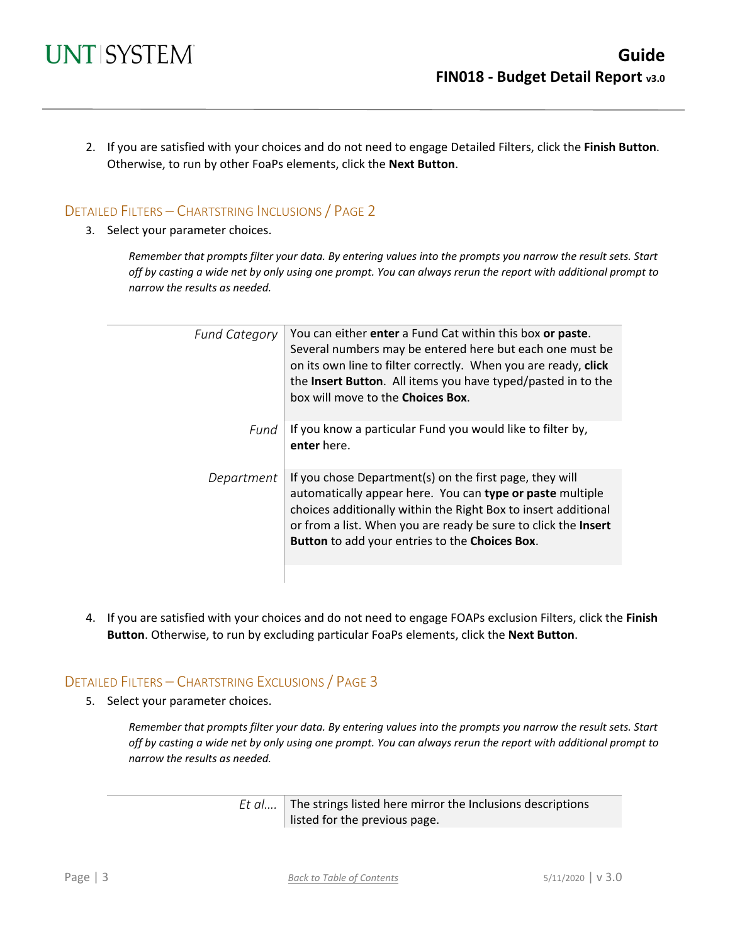2. If you are satisfied with your choices and do not need to engage Detailed Filters, click the **Finish Button**. Otherwise, to run by other FoaPs elements, click the **Next Button**.

### DETAILED FILTERS – CHARTSTRING INCLUSIONS / PAGE 2

3. Select your parameter choices.

*Remember that prompts filter your data. By entering values into the prompts you narrow the result sets. Start off by casting a wide net by only using one prompt. You can always rerun the report with additional prompt to narrow the results as needed.*

| <b>Fund Category</b> | You can either enter a Fund Cat within this box or paste.<br>Several numbers may be entered here but each one must be<br>on its own line to filter correctly. When you are ready, click<br>the Insert Button. All items you have typed/pasted in to the<br>box will move to the Choices Box.               |
|----------------------|------------------------------------------------------------------------------------------------------------------------------------------------------------------------------------------------------------------------------------------------------------------------------------------------------------|
| Fund                 | If you know a particular Fund you would like to filter by,<br>enter here.                                                                                                                                                                                                                                  |
| Department           | If you chose Department(s) on the first page, they will<br>automatically appear here. You can type or paste multiple<br>choices additionally within the Right Box to insert additional<br>or from a list. When you are ready be sure to click the Insert<br>Button to add your entries to the Choices Box. |
|                      |                                                                                                                                                                                                                                                                                                            |

4. If you are satisfied with your choices and do not need to engage FOAPs exclusion Filters, click the **Finish Button**. Otherwise, to run by excluding particular FoaPs elements, click the **Next Button**.

### DETAILED FILTERS – CHARTSTRING EXCLUSIONS / PAGE 3

5. Select your parameter choices.

*Remember that prompts filter your data. By entering values into the prompts you narrow the result sets. Start off by casting a wide net by only using one prompt. You can always rerun the report with additional prompt to narrow the results as needed.*

| <i>Et al</i> The strings listed here mirror the Inclusions descriptions |
|-------------------------------------------------------------------------|
| listed for the previous page.                                           |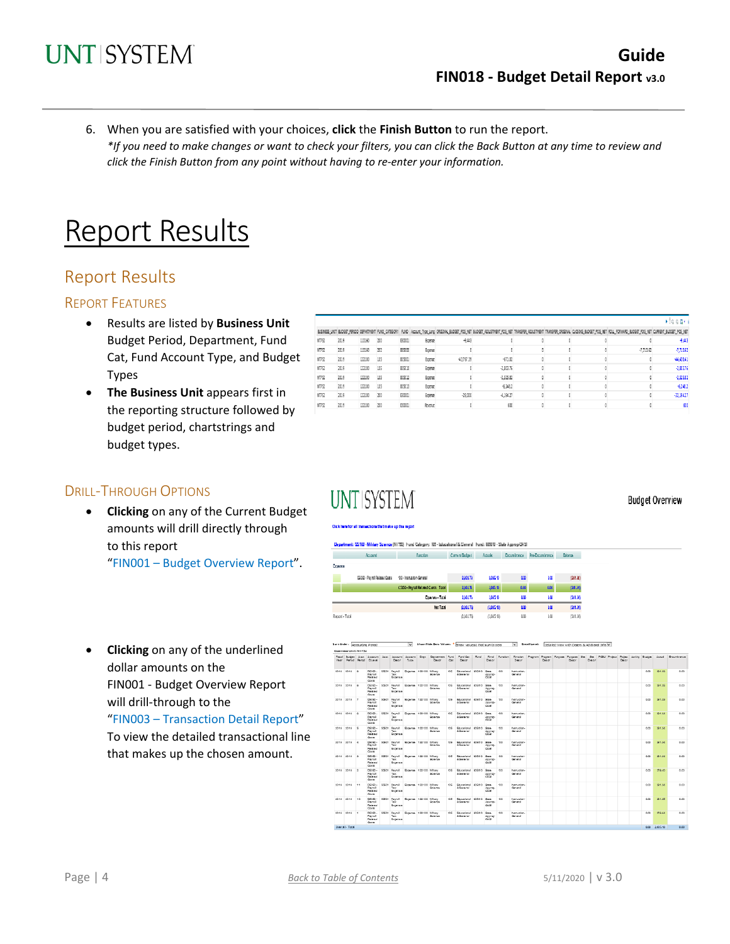6. When you are satisfied with your choices, **click** the **Finish Button** to run the report. *\*If you need to make changes or want to check your filters, you can click the Back Button at any time to review and click the Finish Button from any point without having to re-enter your information.*

# **Report Results**

## Report Results

### REPORT FEATURES

- Results are listed by **Business Unit** Budget Period, Department, Fund Cat, Fund Account Type, and Budget Types
- **The Business Unit** appears first in the reporting structure followed by budget period, chartstrings and budget types.

|       |      |        |     |        |                |              |             |  | ▶ 自治區* |                                                                                                                                                                                                                                |              |
|-------|------|--------|-----|--------|----------------|--------------|-------------|--|--------|--------------------------------------------------------------------------------------------------------------------------------------------------------------------------------------------------------------------------------|--------------|
|       |      |        |     |        |                |              |             |  |        | BJSINESS_UNTI BJOSET_PENDD DEPARTNENT RIND_CATEGORY  RIND   Accord_Type_Long_ORISINAL_BJUDEET_RO_NET_FRUSTER_COUSTNENT_TRANSFER_COUSTNENT TRANSFER_COUSTNENT TRANSFER_COUSTNESS_ORISINAL CLOSING_BUDEET_POS_NET_CURRENT_CURREN |              |
| NT752 | 2019 | 110160 | 200 | 830001 | Expense        | $-9, 443$    |             |  |        |                                                                                                                                                                                                                                | $-9,443$     |
| NT752 | 2019 | 110160 | 202 | 835000 | Expense        |              |             |  |        | $-7,713.62$                                                                                                                                                                                                                    | $-7.71362$   |
| NT752 | 2019 | 122100 | 105 | 805001 | Expense        | $-43.767.39$ | $-671.02$   |  |        |                                                                                                                                                                                                                                | $-44,438.41$ |
| NT752 | 2019 | 122100 | 105 | 805010 | Expense        |              | $-2.803.76$ |  |        |                                                                                                                                                                                                                                | $-2.80376$   |
| NT752 | 2019 | 122100 | 105 | 805012 | Expense        |              | $-2.525.82$ |  |        |                                                                                                                                                                                                                                | $-2.525.82$  |
| NT752 | 2019 | 122100 | 105 | 815013 | <b>Expense</b> |              | $-6.248.2$  |  |        |                                                                                                                                                                                                                                | $-62482$     |
| NT752 | 2019 | 122100 | 200 | 830001 | <b>Expense</b> | $-28.000$    | $-4.194.27$ |  |        |                                                                                                                                                                                                                                | $-32.19427$  |
| NT752 | 2019 | 122100 | 200 | 830001 | Revenue        |              | 600         |  |        |                                                                                                                                                                                                                                |              |

### DRILL-THROUGH OPTIONS

• **Clicking** on any of the Current Budget amounts will drill directly through to this report "FIN001 – Budget Overview Report".

# **UNT SYSTEM**

#### Click have for all transactions that make up this reco-

#### Department: 122 100 - Military Science (NI 752) Pund Cabegory: 105 - Izducational & Ceneral Pund: 809010 - State Agorop-CASI

| Current Budget Aduals, Encumbrance Pre-Encumbrance Briange<br><b>Function</b><br>Account. |  |
|-------------------------------------------------------------------------------------------|--|
|-------------------------------------------------------------------------------------------|--|

|                | DS090 - Payrol Related Costa | 100 - Instructor-General             | 2,809.79 | 3,065.10    | 60   | 00   | (241.26) |
|----------------|------------------------------|--------------------------------------|----------|-------------|------|------|----------|
|                |                              | CS050 - Payroll Relixed Conte. Total | 2,003%   | 0,000.10    | 6.00 | 0.00 | (201.36) |
|                |                              | Downsa - Total                       | 2,00376  | 3,005.10    | 40   | 40   | (201.30) |
|                |                              | <b>Net Total</b>                     | 0,00170  | (3,005,0)   | 40   | 40   | (201.36) |
| kepart - Tatal |                              |                                      | 0,00170  | (3,005, 10) | 40   | ûŴ   | (201.36) |
|                |                              |                                      |          |             |      |      |          |

\* Show wheris' that sum to see

• **Clicking** on any of the underlined dollar amounts on the FIN001 - Budget Overview Report will drill-through to the "FIN003 – Transaction Detail Report"

To view the detailed transactional line that makes up the chosen amount.

| Husemass Unit: N1752 |                                                     |        |                                                       |                               |                                                                               |      |                                           |      |                             |               |                             |                                                                                          |       |        |        |  |        |      |              |             |
|----------------------|-----------------------------------------------------|--------|-------------------------------------------------------|-------------------------------|-------------------------------------------------------------------------------|------|-------------------------------------------|------|-----------------------------|---------------|-----------------------------|------------------------------------------------------------------------------------------|-------|--------|--------|--|--------|------|--------------|-------------|
|                      | Year Period Rental Diuneil                          |        | Descr.                                                | Tune                          | Flecal Busine: Just Joseph Jose Joceph's Joceph's Date December Fund<br>Desar | Car. | Fund Car.<br>Degar                        | Ring | Descr                       | Rind Function | Descr                       | Rinoton Program Poctam Purcose Purcose Ste Ste POSU Project Polect Joshim Busine: Jugasl | Desar | Dealer | Descri |  | Descri |      |              | Ensumbrance |
| 2019 2019 9          | <b>Darryll</b><br>Related<br>Coats.                 |        | DECE- SOCO1 Payroll<br>Tay.<br>Expense                | Botenes 120100 Milton:        | Golema                                                                        | 105  | Edicational 605010 State<br>A General     |      | approp-<br>00.91            | 100           | hamazion-<br>General        |                                                                                          |       |        |        |  |        | 0.00 | 201.33       | 0.00        |
| 2019 2019 9          | 09090 -<br>Paynell <sub></sub><br>Palmed<br>Coats.  | SORO1  | Tax:<br>Rogerse                                       | Payrol Screnae 120100 Mitary  | Science                                                                       |      | 105 Educational 605010 State<br>A General |      | approp-<br>00.91            | 450           | hamuzion-<br>General        |                                                                                          |       |        |        |  |        | o on | 261.35       | 0.00        |
| 2019 2019 T          | DECE-<br>Paynell<br>Related<br>Coats.               | \$0501 | Tax:<br><b>Roterse</b>                                | Payrol Governa 122100 Milton/ | Science                                                                       |      | 105 Educational 605010 State<br>A General |      | accrat-<br>00.91            | 100           | hamazion-<br>General        |                                                                                          |       |        |        |  |        | 0.00 | 391.99       | 0.00        |
| 0010 0010 0          | nongo.<br><b>Paynell</b><br><b>Dalman</b><br>Coats. | CODIN  | <b>DauryJ</b><br>Tax:<br>Rogerse                      | Rozense 120100 Mitano         | Science                                                                       | 40%  | Edicational 605010<br>A General           |      | Grana.<br>approp-<br>CO-OIL | 450           | <b>hamselery</b><br>General |                                                                                          |       |        |        |  |        | 0.00 | 004.04       | 6.66        |
| 2019 2019 5          | $0502 -$<br>Payroll<br>Related<br>Costa             | \$0501 | Paynell<br>Tax:<br><b>Rotering</b>                    | Bowne 120100 Milay            | Science                                                                       | 105  | Educational ADEDIO<br>A General           |      | Grana.<br>approp-<br>00.91  | 100           | hamazione<br>General        |                                                                                          |       |        |        |  |        | 0.00 | 201.04       | 0.00        |
| 0010 0010 J.         | nongy.<br><b>Payroll</b><br>Related<br>Coase.       | COCOH  | Tax:<br>Rommee                                        | Parrol Romman 122100 Milton:  | Goleria                                                                       | 40%  | Crimeteral ShONG<br>A General             |      | Grana.<br>approp-<br>00.91  | 455           | <b>Nameshow</b><br>General  |                                                                                          |       |        |        |  |        | 6.06 | 201.04       | 0.00        |
| 2019 2019 3          | DECE-<br>Paynell<br><b>Related</b><br>Costs.        |        | SOD1 Payroll<br>Tay.<br><b>Browne</b>                 | System 120100 Millard         | Goldman                                                                       |      | 105 Structural 605010 State<br>A General  |      | approp-<br>00.91            | 100           | hamazione<br>General        |                                                                                          |       |        |        |  |        | 0.00 | 201.04       | 0.00        |
| 2019 2019 2          | DE030 -<br><b>Payroll</b><br>Related<br>Coase.      |        | SGO1 Payrol Screnge 122100 Milton:<br>Tax:<br>Rotense |                               | Golense                                                                       |      | 105 Educational R05010 State<br>A General |      | approp-<br>00.91            | 100           | hamuzion-<br>General        |                                                                                          |       |        |        |  |        | O.OD | 279.40       | 0.00        |
| 2019 2019 11         | nengo -<br>Payroll<br>Related<br>Costs.             | SOGO1  | Taic.<br>Expense                                      | Paurol Groenee 122100 Milton/ | Science                                                                       |      | 105 Educational 405010<br>A General       |      | Grana.<br>accom-<br>CO-SE   | 450           | hamation-<br>General        |                                                                                          |       |        |        |  |        | 0.00 | 301.04       | 0.00        |
| 2019 2019 10         | DECED-<br>Payroll<br>Related<br>Course.             | \$0501 | Tax:<br><b>Roteries</b>                               | Payrol Romman 122100 Milton:  | <b>Bolence</b>                                                                |      | 105 Edicational 605010 State<br>A General |      | approp-<br>00.91            | 100           | hamuzion-<br>General        |                                                                                          |       |        |        |  |        | 000  | 261.35       | 0.00        |
| 2019 2019 1          | DECEL - GOEDY<br>Payroll<br><b>Dalmad</b><br>Costs. |        | Tax<br>Expense                                        | Paurol Groenee 120100 Milton/ | <b>Science</b>                                                                | 105  | Steatmal #500<br>A General                |      | Grana.<br>approp-<br>00.91  | 450           | hamation<br>General         |                                                                                          |       |        |        |  |        | 0.00 | <b>STORE</b> | 0.00        |
| Concello Tord        |                                                     |        |                                                       |                               |                                                                               |      |                                           |      |                             |               |                             |                                                                                          |       |        |        |  |        |      | 600 300546   | <b>Add</b>  |

v Beral Level: Drivel View with Drama & Additional brin V

**Budget Overview**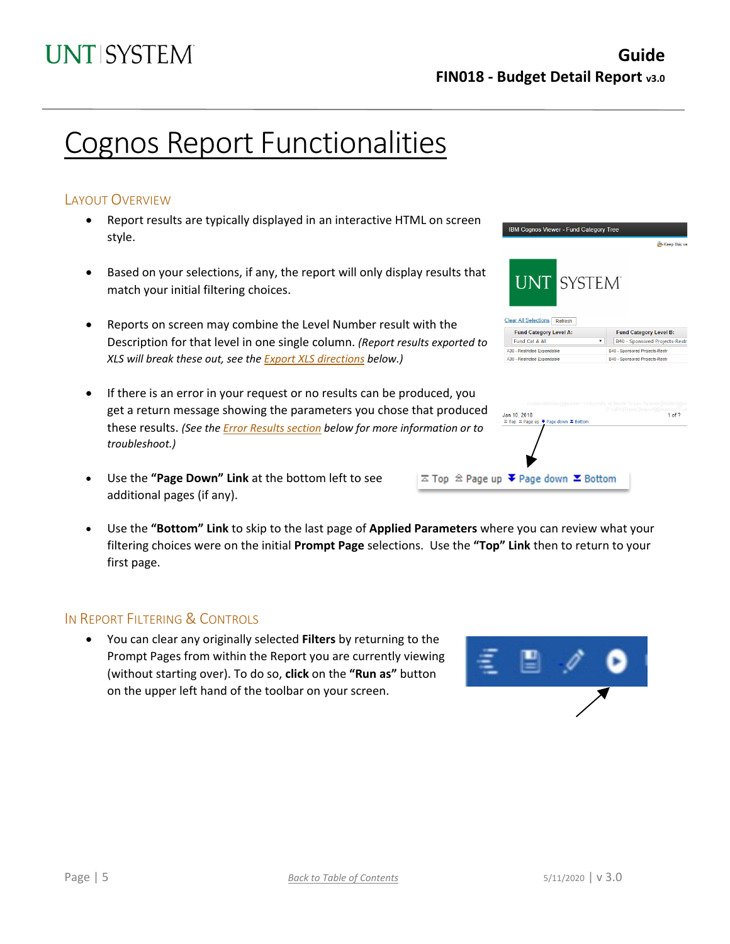BM Cognos Viewer - Fund Category Tree

**UNT** 

Clear All Selections Refresh Fund Category Level A:

Fund Cat A All

A30 - Restricted Expenda

Jan 10, 2018

 $\overline{\sim}$  Top  $\ \hat{\approx}$  Page up

A30 - Restricted Expendable

SYSTEM

**Co.** Keep this

 $1 of ?$ 

Fund Category Level B:

V B40 - Sponsored Projects-Restr

B40 - Sponsored Projects-Rest

B40 - Sponsored Projects-Rest

# Cognos Report Functionalities

## LAYOUT OVERVIEW

- Report results are typically displayed in an interactive HTML on screen style.
- Based on your selections, if any, the report will only display results that match your initial filtering choices.
- Reports on screen may combine the Level Number result with the Description for that level in one single column. *(Report results exported to XLS will break these out, see th[e Export XLS directions](#page-5-0) below.)*
- If there is an error in your request or no results can be produced, you get a return message showing the parameters you chose that produced these results. *(See th[e Error Results section](#page-6-0) below for more information or to troubleshoot.)*
- Use the **"Page Down" Link** at the bottom left to see additional pages (if any).
- Use the **"Bottom" Link** to skip to the last page of **Applied Parameters** where you can review what your filtering choices were on the initial **Prompt Page** selections. Use the **"Top" Link** then to return to your first page.

### IN REPORT FILTERING & CONTROLS

• You can clear any originally selected **Filters** by returning to the Prompt Pages from within the Report you are currently viewing (without starting over). To do so, **click** on the **"Run as"** button on the upper left hand of the toolbar on your screen.



| Page $  5$ |  | Back to Table of Contents | $5/11/2020$   v 3.0 |  |  |
|------------|--|---------------------------|---------------------|--|--|
|------------|--|---------------------------|---------------------|--|--|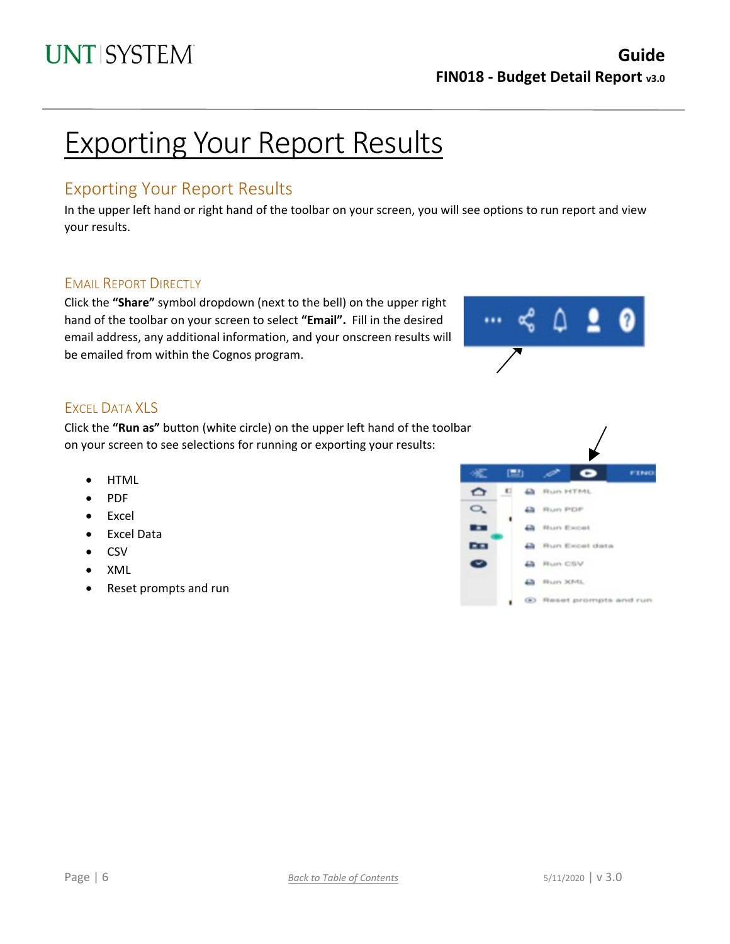# Exporting Your Report Results

## Exporting Your Report Results

In the upper left hand or right hand of the toolbar on your screen, you will see options to run report and view your results.

## EMAIL REPORT DIRECTLY

Click the **"Share"** symbol dropdown (next to the bell) on the upper right hand of the toolbar on your screen to select **"Email".** Fill in the desired email address, any additional information, and your onscreen results will be emailed from within the Cognos program.



## <span id="page-5-0"></span>EXCEL DATA XLS

Click the **"Run as"** button (white circle) on the upper left hand of the toolbar on your screen to see selections for running or exporting your results:

- HTML
- PDF
- Excel
- Excel Data
- CSV
- XML
- Reset prompts and run